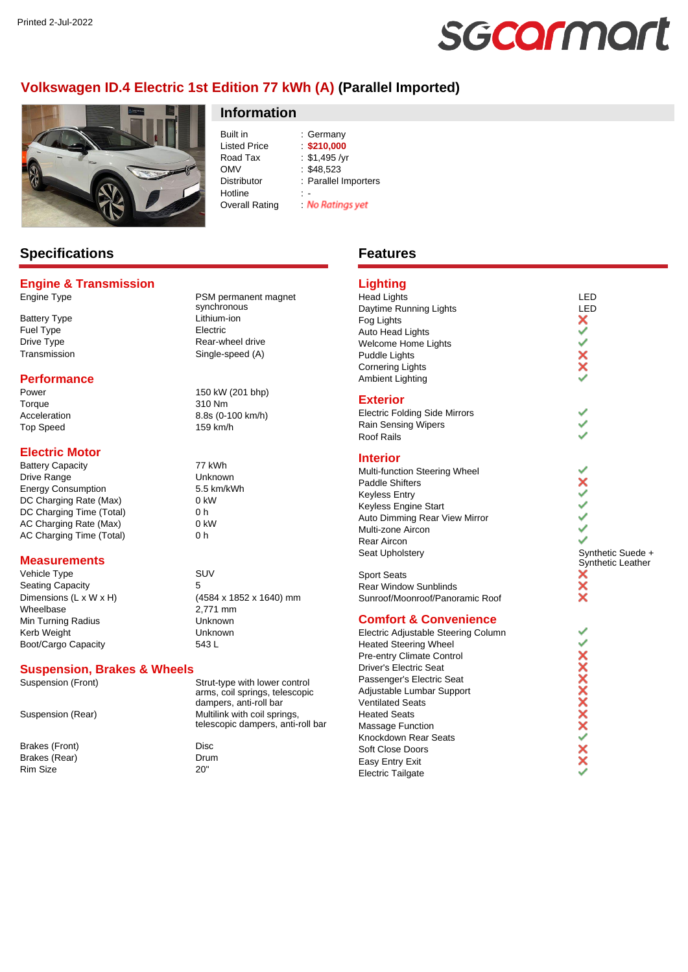# sgcarmart

# **Volkswagen ID.4 Electric 1st Edition 77 kWh (A) (Parallel Imported)**



### **Information**

Built in : Germany Listed Price : **\$210,000** Road Tax : \$1,495 /yr<br>OMV : \$48.523  $\frac{1}{2}$ \$48.523 Distributor : Parallel Importers Hotline<br>Overall Rating **No Ratings yet** Overall Rating :

### **Specifications**

### **Engine & Transmission**

Battery Type **Lithium-ion** Fuel Type Electric

### **Performance**

Torque 310 Nm Top Speed 159 km/h

### **Electric Motor**

Battery Capacity **77 kWh** Drive Range Unknown Energy Consumption 5.5 km/kWh DC Charging Rate (Max) 0 kW DC Charging Time (Total) 0 h AC Charging Rate (Max) 0 kW AC Charging Time (Total) 0 h

### **Measurements**

Vehicle Type SUV Seating Capacity 5<br>Dimensions (L x W x H) (4 Wheelbase 2,771 mm Min Turning Radius **Nights** Unknown Kerb Weight **Unknown** Boot/Cargo Capacity 543 L

### **Suspension, Brakes & Wheels**

Brakes (Front) Disc Brakes (Rear) Drum Rim Size 20"

Engine Type **PSM** permanent magnet synchronous Drive Type **Rear-wheel drive** Transmission Single-speed (A)

Power 150 kW (201 bhp) Acceleration 8.8s (0-100 km/h)

(4584 x 1852 x 1640) mm

Suspension (Front) Strut-type with lower control arms, coil springs, telescopic dampers, anti-roll bar Suspension (Rear) Multilink with coil springs, telescopic dampers, anti-roll bar

## **Features**

# **Lighting**

Head Lights LED<br>Daytime Running Lights Lexuber 2011 Daytime Running Lights<br>
Fog Lights<br>
Auto Head Lights<br> **X** Fog Lights Auto Head Lights Welcome Home Lights Puddle Lights Cornering Lights Ambient Lighting

### **Exterior**

Electric Folding Side Mirrors Rain Sensing Wipers Roof Rails

### **Interior**

Multi-function Steering Wheel Paddle Shifters Keyless Entry Keyless Engine Start Auto Dimming Rear View Mirror Multi-zone Aircon Rear Aircon Seat Upholstery Seat Upholstery Synthetic Suede +

Sport Seats Rear Window Sunblinds Sunroof/Moonroof/Panoramic Roof

### **Comfort & Convenience**

Electric Adjustable Steering Column Heated Steering Wheel Pre-entry Climate Control Driver's Electric Seat Passenger's Electric Seat Adjustable Lumbar Support Ventilated Seats Heated Seats Massage Function Knockdown Rear Seats Soft Close Doors Easy Entry Exit Electric Tailgate

Ÿ  $\frac{1}{2}$ .<br>∢ ٧ й й **AXXXXXXXXXXX** 

Synthetic Leather<br> **X**<br> **X**<br> **X**